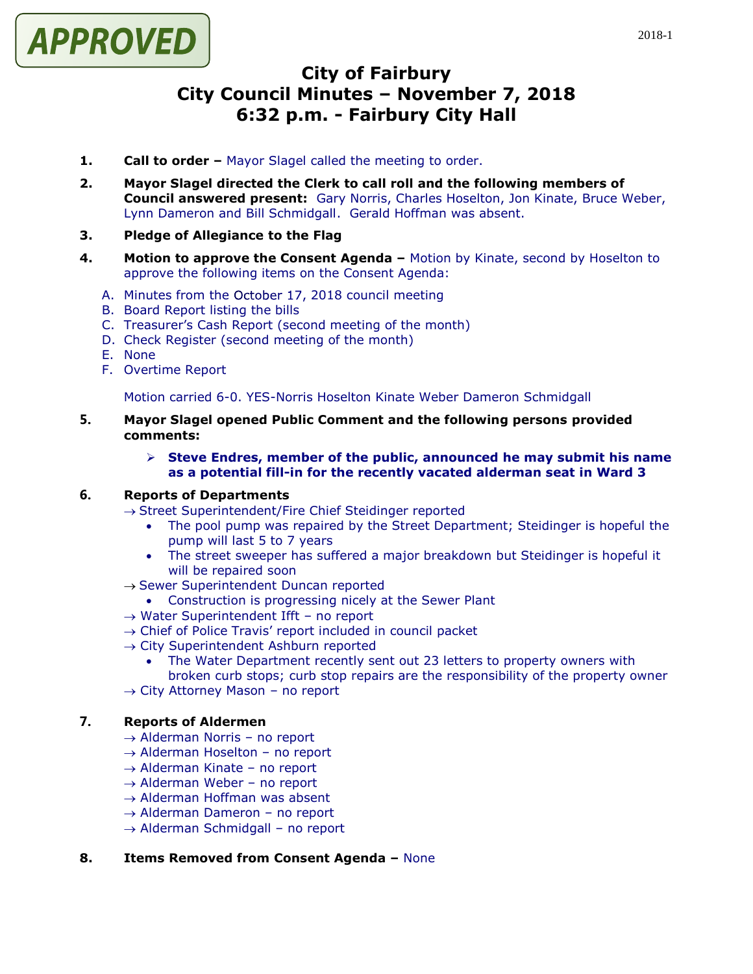

# **City of Fairbury City Council Minutes – November 7, 2018 6:32 p.m. - Fairbury City Hall**

- **1. Call to order –** Mayor Slagel called the meeting to order.
- **2. Mayor Slagel directed the Clerk to call roll and the following members of Council answered present:** Gary Norris, Charles Hoselton, Jon Kinate, Bruce Weber, Lynn Dameron and Bill Schmidgall. Gerald Hoffman was absent.
- **3. Pledge of Allegiance to the Flag**
- **4. Motion to approve the Consent Agenda –** Motion by Kinate, second by Hoselton to approve the following items on the Consent Agenda:
	- A. Minutes from the October 17, 2018 council meeting
	- B. Board Report listing the bills
	- C. Treasurer's Cash Report (second meeting of the month)
	- D. Check Register (second meeting of the month)
	- E. None
	- F. Overtime Report

Motion carried 6-0. YES-Norris Hoselton Kinate Weber Dameron Schmidgall

**5. Mayor Slagel opened Public Comment and the following persons provided comments:**

### ➢ **Steve Endres, member of the public, announced he may submit his name as a potential fill-in for the recently vacated alderman seat in Ward 3**

#### **6. Reports of Departments**

- $\rightarrow$  Street Superintendent/Fire Chief Steidinger reported
	- The pool pump was repaired by the Street Department; Steidinger is hopeful the pump will last 5 to 7 years
	- The street sweeper has suffered a major breakdown but Steidinger is hopeful it will be repaired soon
- $\rightarrow$  Sewer Superintendent Duncan reported
	- Construction is progressing nicely at the Sewer Plant
- → Water Superintendent Ifft no report
- $\rightarrow$  Chief of Police Travis' report included in council packet
- $\rightarrow$  City Superintendent Ashburn reported
	- The Water Department recently sent out 23 letters to property owners with broken curb stops; curb stop repairs are the responsibility of the property owner
- $\rightarrow$  City Attorney Mason no report

# **7. Reports of Aldermen**

- $\rightarrow$  Alderman Norris no report
- $\rightarrow$  Alderman Hoselton no report
- $\rightarrow$  Alderman Kinate no report
- $\rightarrow$  Alderman Weber no report
- $\rightarrow$  Alderman Hoffman was absent
- $\rightarrow$  Alderman Dameron no report
- $\rightarrow$  Alderman Schmidgall no report
- **8. Items Removed from Consent Agenda –** None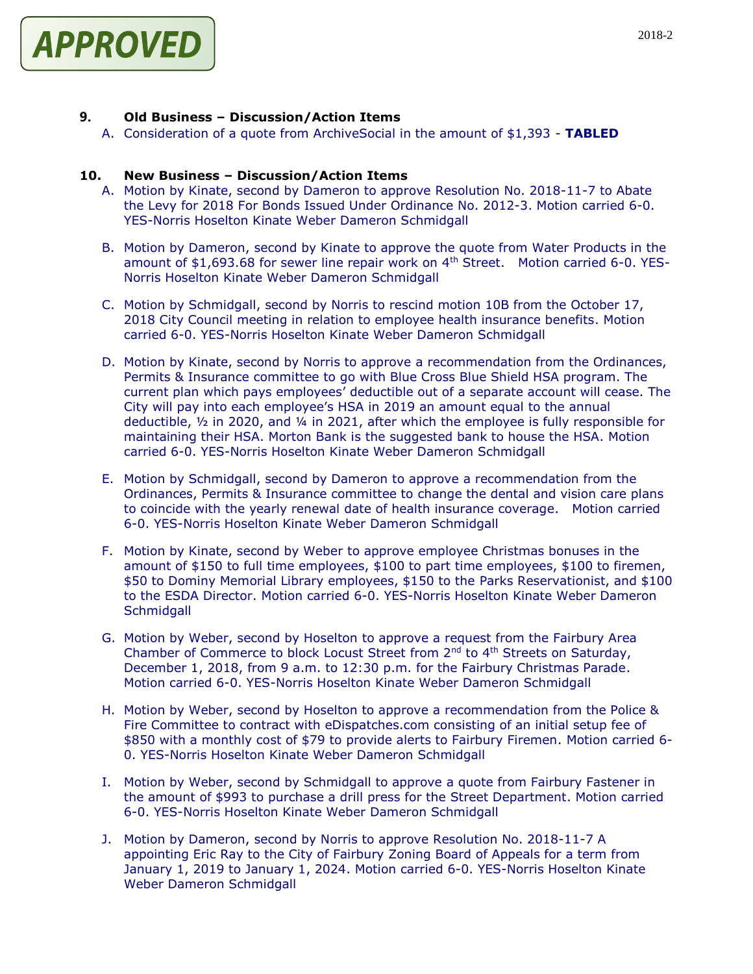

## **9. Old Business – Discussion/Action Items**

A. Consideration of a quote from ArchiveSocial in the amount of \$1,393 - **TABLED**

### **10. New Business – Discussion/Action Items**

- A. Motion by Kinate, second by Dameron to approve Resolution No. 2018-11-7 to Abate the Levy for 2018 For Bonds Issued Under Ordinance No. 2012-3. Motion carried 6-0. YES-Norris Hoselton Kinate Weber Dameron Schmidgall
- B. Motion by Dameron, second by Kinate to approve the quote from Water Products in the amount of  $$1,693.68$  for sewer line repair work on  $4<sup>th</sup>$  Street. Motion carried 6-0. YES-Norris Hoselton Kinate Weber Dameron Schmidgall
- C. Motion by Schmidgall, second by Norris to rescind motion 10B from the October 17, 2018 City Council meeting in relation to employee health insurance benefits. Motion carried 6-0. YES-Norris Hoselton Kinate Weber Dameron Schmidgall
- D. Motion by Kinate, second by Norris to approve a recommendation from the Ordinances, Permits & Insurance committee to go with Blue Cross Blue Shield HSA program. The current plan which pays employees' deductible out of a separate account will cease. The City will pay into each employee's HSA in 2019 an amount equal to the annual deductible,  $\frac{1}{2}$  in 2020, and  $\frac{1}{4}$  in 2021, after which the employee is fully responsible for maintaining their HSA. Morton Bank is the suggested bank to house the HSA. Motion carried 6-0. YES-Norris Hoselton Kinate Weber Dameron Schmidgall
- E. Motion by Schmidgall, second by Dameron to approve a recommendation from the Ordinances, Permits & Insurance committee to change the dental and vision care plans to coincide with the yearly renewal date of health insurance coverage. Motion carried 6-0. YES-Norris Hoselton Kinate Weber Dameron Schmidgall
- F. Motion by Kinate, second by Weber to approve employee Christmas bonuses in the amount of \$150 to full time employees, \$100 to part time employees, \$100 to firemen, \$50 to Dominy Memorial Library employees, \$150 to the Parks Reservationist, and \$100 to the ESDA Director. Motion carried 6-0. YES-Norris Hoselton Kinate Weber Dameron **Schmidgall**
- G. Motion by Weber, second by Hoselton to approve a request from the Fairbury Area Chamber of Commerce to block Locust Street from  $2^{nd}$  to  $4^{th}$  Streets on Saturday, December 1, 2018, from 9 a.m. to 12:30 p.m. for the Fairbury Christmas Parade. Motion carried 6-0. YES-Norris Hoselton Kinate Weber Dameron Schmidgall
- H. Motion by Weber, second by Hoselton to approve a recommendation from the Police & Fire Committee to contract with eDispatches.com consisting of an initial setup fee of \$850 with a monthly cost of \$79 to provide alerts to Fairbury Firemen. Motion carried 6- 0. YES-Norris Hoselton Kinate Weber Dameron Schmidgall
- I. Motion by Weber, second by Schmidgall to approve a quote from Fairbury Fastener in the amount of \$993 to purchase a drill press for the Street Department. Motion carried 6-0. YES-Norris Hoselton Kinate Weber Dameron Schmidgall
- J. Motion by Dameron, second by Norris to approve Resolution No. 2018-11-7 A appointing Eric Ray to the City of Fairbury Zoning Board of Appeals for a term from January 1, 2019 to January 1, 2024. Motion carried 6-0. YES-Norris Hoselton Kinate Weber Dameron Schmidgall